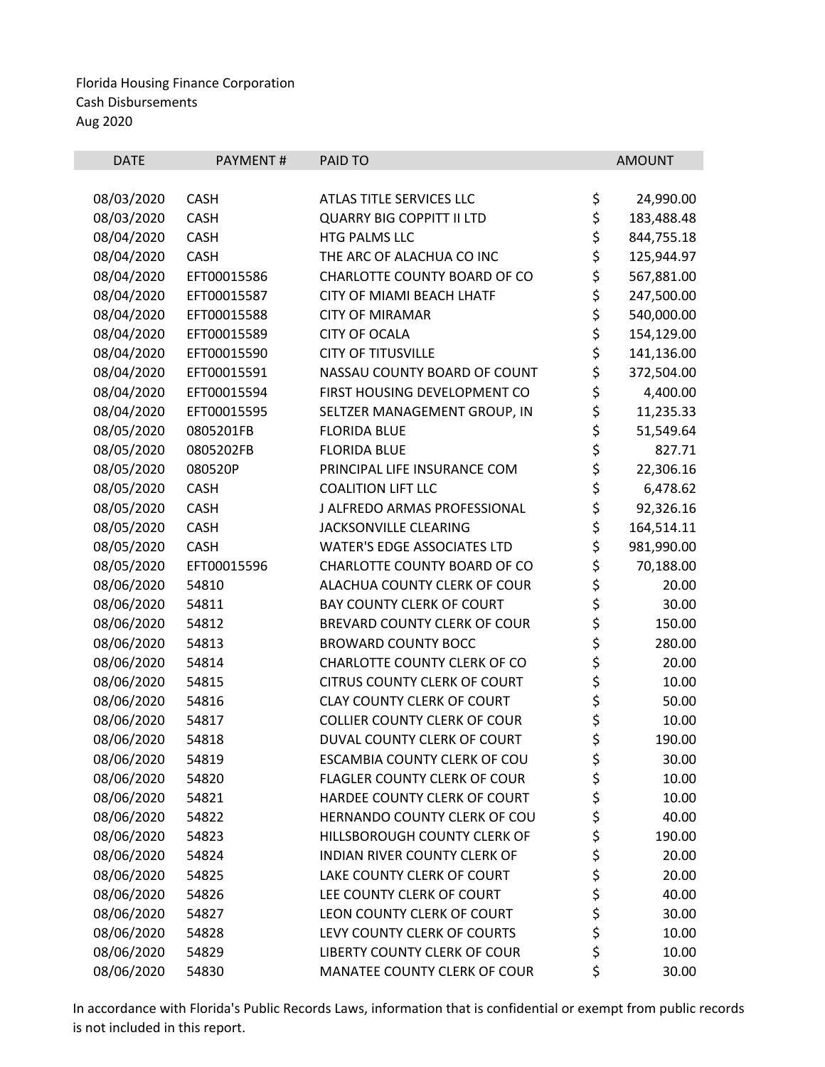| <b>DATE</b> | PAYMENT#    | PAID TO                             |          | <b>AMOUNT</b> |
|-------------|-------------|-------------------------------------|----------|---------------|
| 08/03/2020  | <b>CASH</b> | ATLAS TITLE SERVICES LLC            | \$       | 24,990.00     |
| 08/03/2020  | <b>CASH</b> | <b>QUARRY BIG COPPITT II LTD</b>    | \$       | 183,488.48    |
| 08/04/2020  | <b>CASH</b> | HTG PALMS LLC                       | \$       | 844,755.18    |
| 08/04/2020  | <b>CASH</b> | THE ARC OF ALACHUA CO INC           | \$       | 125,944.97    |
| 08/04/2020  | EFT00015586 | CHARLOTTE COUNTY BOARD OF CO        | \$       | 567,881.00    |
| 08/04/2020  | EFT00015587 | CITY OF MIAMI BEACH LHATF           | \$       | 247,500.00    |
| 08/04/2020  | EFT00015588 | <b>CITY OF MIRAMAR</b>              | \$       | 540,000.00    |
| 08/04/2020  | EFT00015589 | <b>CITY OF OCALA</b>                | \$       | 154,129.00    |
| 08/04/2020  | EFT00015590 | <b>CITY OF TITUSVILLE</b>           | \$       | 141,136.00    |
| 08/04/2020  | EFT00015591 | NASSAU COUNTY BOARD OF COUNT        | \$       | 372,504.00    |
| 08/04/2020  | EFT00015594 | FIRST HOUSING DEVELOPMENT CO        | \$       | 4,400.00      |
| 08/04/2020  | EFT00015595 | SELTZER MANAGEMENT GROUP, IN        | \$       | 11,235.33     |
| 08/05/2020  | 0805201FB   | <b>FLORIDA BLUE</b>                 | \$       | 51,549.64     |
| 08/05/2020  | 0805202FB   | <b>FLORIDA BLUE</b>                 | \$       | 827.71        |
| 08/05/2020  | 080520P     | PRINCIPAL LIFE INSURANCE COM        | \$       | 22,306.16     |
| 08/05/2020  | <b>CASH</b> | <b>COALITION LIFT LLC</b>           | \$       | 6,478.62      |
| 08/05/2020  | CASH        | J ALFREDO ARMAS PROFESSIONAL        | \$       | 92,326.16     |
| 08/05/2020  | CASH        | JACKSONVILLE CLEARING               | \$       | 164,514.11    |
| 08/05/2020  | <b>CASH</b> | <b>WATER'S EDGE ASSOCIATES LTD</b>  | \$       | 981,990.00    |
| 08/05/2020  | EFT00015596 | CHARLOTTE COUNTY BOARD OF CO        | \$       | 70,188.00     |
| 08/06/2020  | 54810       | ALACHUA COUNTY CLERK OF COUR        | \$       | 20.00         |
| 08/06/2020  | 54811       | <b>BAY COUNTY CLERK OF COURT</b>    | \$       | 30.00         |
| 08/06/2020  | 54812       | BREVARD COUNTY CLERK OF COUR        | \$       | 150.00        |
| 08/06/2020  | 54813       | <b>BROWARD COUNTY BOCC</b>          | \$       | 280.00        |
| 08/06/2020  | 54814       | CHARLOTTE COUNTY CLERK OF CO        | \$       | 20.00         |
| 08/06/2020  | 54815       | <b>CITRUS COUNTY CLERK OF COURT</b> | \$       | 10.00         |
| 08/06/2020  | 54816       | <b>CLAY COUNTY CLERK OF COURT</b>   | \$       | 50.00         |
| 08/06/2020  | 54817       | <b>COLLIER COUNTY CLERK OF COUR</b> | \$       | 10.00         |
| 08/06/2020  | 54818       | DUVAL COUNTY CLERK OF COURT         | \$       | 190.00        |
| 08/06/2020  | 54819       | ESCAMBIA COUNTY CLERK OF COU        | \$       | 30.00         |
| 08/06/2020  | 54820       | <b>FLAGLER COUNTY CLERK OF COUR</b> | \$       | 10.00         |
| 08/06/2020  | 54821       | HARDEE COUNTY CLERK OF COURT        | \$       | 10.00         |
| 08/06/2020  | 54822       | HERNANDO COUNTY CLERK OF COU        | \$       | 40.00         |
| 08/06/2020  | 54823       | HILLSBOROUGH COUNTY CLERK OF        | \$       | 190.00        |
| 08/06/2020  | 54824       | INDIAN RIVER COUNTY CLERK OF        | \$       | 20.00         |
| 08/06/2020  | 54825       | LAKE COUNTY CLERK OF COURT          | \$<br>\$ | 20.00         |
| 08/06/2020  | 54826       | LEE COUNTY CLERK OF COURT           |          | 40.00         |
| 08/06/2020  | 54827       | LEON COUNTY CLERK OF COURT          | \$       | 30.00         |
| 08/06/2020  | 54828       | LEVY COUNTY CLERK OF COURTS         | \$       | 10.00         |
| 08/06/2020  | 54829       | LIBERTY COUNTY CLERK OF COUR        | \$       | 10.00         |
| 08/06/2020  | 54830       | MANATEE COUNTY CLERK OF COUR        | \$       | 30.00         |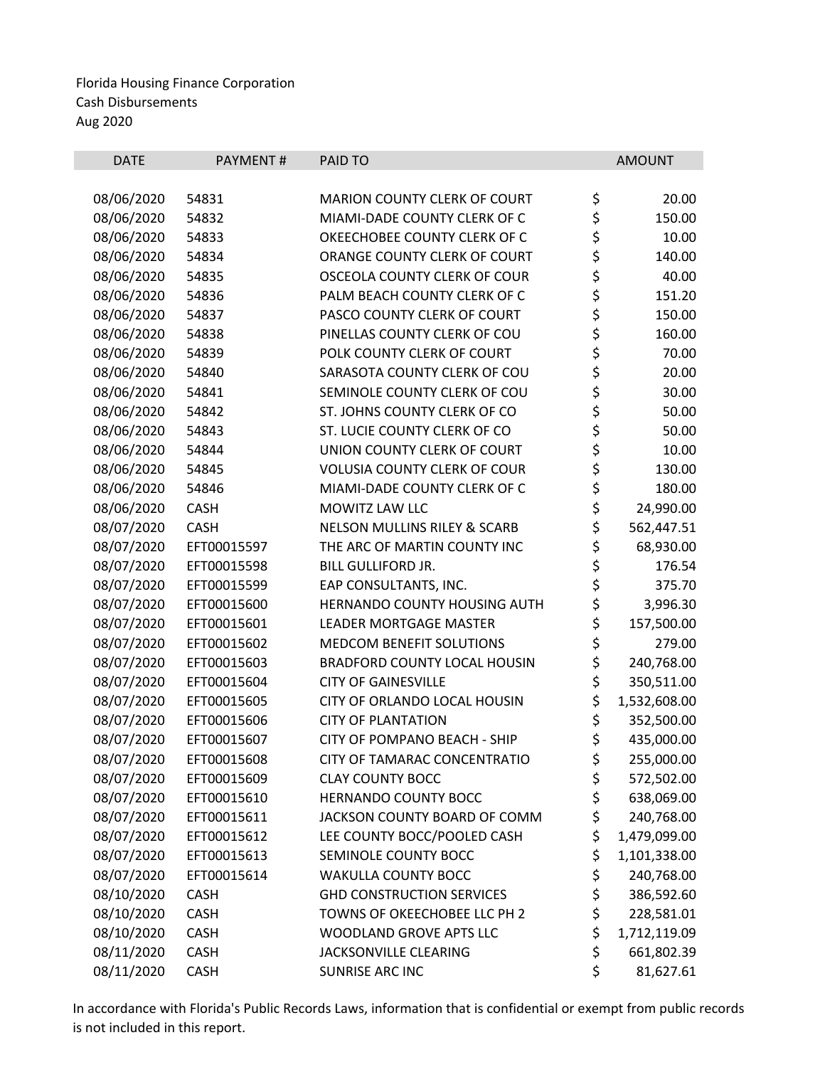| <b>DATE</b> | PAYMENT#    | PAID TO                                 | <b>AMOUNT</b>      |
|-------------|-------------|-----------------------------------------|--------------------|
|             |             |                                         |                    |
| 08/06/2020  | 54831       | <b>MARION COUNTY CLERK OF COURT</b>     | \$<br>20.00        |
| 08/06/2020  | 54832       | MIAMI-DADE COUNTY CLERK OF C            | \$<br>150.00       |
| 08/06/2020  | 54833       | OKEECHOBEE COUNTY CLERK OF C            | \$<br>10.00        |
| 08/06/2020  | 54834       | ORANGE COUNTY CLERK OF COURT            | \$<br>140.00       |
| 08/06/2020  | 54835       | OSCEOLA COUNTY CLERK OF COUR            | \$<br>40.00        |
| 08/06/2020  | 54836       | PALM BEACH COUNTY CLERK OF C            | \$<br>151.20       |
| 08/06/2020  | 54837       | PASCO COUNTY CLERK OF COURT             | \$<br>150.00       |
| 08/06/2020  | 54838       | PINELLAS COUNTY CLERK OF COU            | \$<br>160.00       |
| 08/06/2020  | 54839       | POLK COUNTY CLERK OF COURT              | \$<br>70.00        |
| 08/06/2020  | 54840       | SARASOTA COUNTY CLERK OF COU            | \$<br>20.00        |
| 08/06/2020  | 54841       | SEMINOLE COUNTY CLERK OF COU            | \$<br>30.00        |
| 08/06/2020  | 54842       | ST. JOHNS COUNTY CLERK OF CO            | \$<br>50.00        |
| 08/06/2020  | 54843       | ST. LUCIE COUNTY CLERK OF CO            | \$<br>50.00        |
| 08/06/2020  | 54844       | UNION COUNTY CLERK OF COURT             | \$<br>10.00        |
| 08/06/2020  | 54845       | <b>VOLUSIA COUNTY CLERK OF COUR</b>     | \$<br>130.00       |
| 08/06/2020  | 54846       | MIAMI-DADE COUNTY CLERK OF C            | \$<br>180.00       |
| 08/06/2020  | CASH        | MOWITZ LAW LLC                          | \$<br>24,990.00    |
| 08/07/2020  | <b>CASH</b> | <b>NELSON MULLINS RILEY &amp; SCARB</b> | \$<br>562,447.51   |
| 08/07/2020  | EFT00015597 | THE ARC OF MARTIN COUNTY INC            | \$<br>68,930.00    |
| 08/07/2020  | EFT00015598 | <b>BILL GULLIFORD JR.</b>               | \$<br>176.54       |
| 08/07/2020  | EFT00015599 | EAP CONSULTANTS, INC.                   | \$<br>375.70       |
| 08/07/2020  | EFT00015600 | HERNANDO COUNTY HOUSING AUTH            | \$<br>3,996.30     |
| 08/07/2020  | EFT00015601 | <b>LEADER MORTGAGE MASTER</b>           | \$<br>157,500.00   |
| 08/07/2020  | EFT00015602 | <b>MEDCOM BENEFIT SOLUTIONS</b>         | \$<br>279.00       |
| 08/07/2020  | EFT00015603 | <b>BRADFORD COUNTY LOCAL HOUSIN</b>     | \$<br>240,768.00   |
| 08/07/2020  | EFT00015604 | <b>CITY OF GAINESVILLE</b>              | \$<br>350,511.00   |
| 08/07/2020  | EFT00015605 | CITY OF ORLANDO LOCAL HOUSIN            | \$<br>1,532,608.00 |
| 08/07/2020  | EFT00015606 | <b>CITY OF PLANTATION</b>               | \$<br>352,500.00   |
| 08/07/2020  | EFT00015607 | <b>CITY OF POMPANO BEACH - SHIP</b>     | \$<br>435,000.00   |
| 08/07/2020  | EFT00015608 | CITY OF TAMARAC CONCENTRATIO            | \$<br>255,000.00   |
| 08/07/2020  | EFT00015609 | <b>CLAY COUNTY BOCC</b>                 | \$<br>572,502.00   |
| 08/07/2020  | EFT00015610 | <b>HERNANDO COUNTY BOCC</b>             | \$<br>638,069.00   |
| 08/07/2020  | EFT00015611 | JACKSON COUNTY BOARD OF COMM            | \$<br>240,768.00   |
| 08/07/2020  | EFT00015612 | LEE COUNTY BOCC/POOLED CASH             | \$<br>1,479,099.00 |
| 08/07/2020  | EFT00015613 | SEMINOLE COUNTY BOCC                    | \$<br>1,101,338.00 |
| 08/07/2020  | EFT00015614 | <b>WAKULLA COUNTY BOCC</b>              | \$<br>240,768.00   |
| 08/10/2020  | <b>CASH</b> | <b>GHD CONSTRUCTION SERVICES</b>        | \$<br>386,592.60   |
| 08/10/2020  | <b>CASH</b> | TOWNS OF OKEECHOBEE LLC PH 2            | \$<br>228,581.01   |
| 08/10/2020  | <b>CASH</b> | WOODLAND GROVE APTS LLC                 | \$<br>1,712,119.09 |
| 08/11/2020  | CASH        | <b>JACKSONVILLE CLEARING</b>            | \$<br>661,802.39   |
| 08/11/2020  | <b>CASH</b> | SUNRISE ARC INC                         | \$<br>81,627.61    |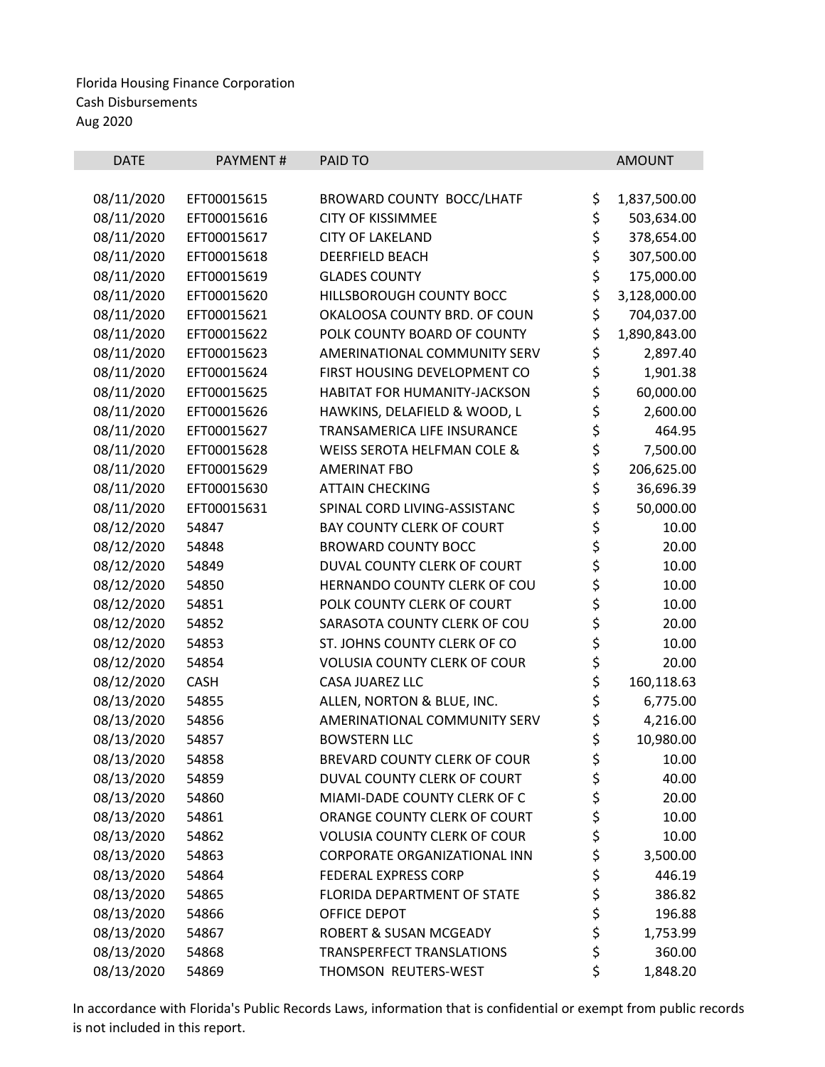| <b>DATE</b> | <b>PAYMENT#</b> | PAID TO                             |          | <b>AMOUNT</b> |
|-------------|-----------------|-------------------------------------|----------|---------------|
|             |                 |                                     |          |               |
| 08/11/2020  | EFT00015615     | BROWARD COUNTY BOCC/LHATF           | \$       | 1,837,500.00  |
| 08/11/2020  | EFT00015616     | <b>CITY OF KISSIMMEE</b>            | \$       | 503,634.00    |
| 08/11/2020  | EFT00015617     | <b>CITY OF LAKELAND</b>             | \$       | 378,654.00    |
| 08/11/2020  | EFT00015618     | DEERFIELD BEACH                     | \$<br>\$ | 307,500.00    |
| 08/11/2020  | EFT00015619     | <b>GLADES COUNTY</b>                |          | 175,000.00    |
| 08/11/2020  | EFT00015620     | HILLSBOROUGH COUNTY BOCC            | \$       | 3,128,000.00  |
| 08/11/2020  | EFT00015621     | OKALOOSA COUNTY BRD. OF COUN        | \$       | 704,037.00    |
| 08/11/2020  | EFT00015622     | POLK COUNTY BOARD OF COUNTY         | \$       | 1,890,843.00  |
| 08/11/2020  | EFT00015623     | AMERINATIONAL COMMUNITY SERV        | \$       | 2,897.40      |
| 08/11/2020  | EFT00015624     | FIRST HOUSING DEVELOPMENT CO        | \$       | 1,901.38      |
| 08/11/2020  | EFT00015625     | HABITAT FOR HUMANITY-JACKSON        | \$       | 60,000.00     |
| 08/11/2020  | EFT00015626     | HAWKINS, DELAFIELD & WOOD, L        | \$       | 2,600.00      |
| 08/11/2020  | EFT00015627     | TRANSAMERICA LIFE INSURANCE         | \$<br>\$ | 464.95        |
| 08/11/2020  | EFT00015628     | WEISS SEROTA HELFMAN COLE &         |          | 7,500.00      |
| 08/11/2020  | EFT00015629     | <b>AMERINAT FBO</b>                 | \$       | 206,625.00    |
| 08/11/2020  | EFT00015630     | <b>ATTAIN CHECKING</b>              | \$       | 36,696.39     |
| 08/11/2020  | EFT00015631     | SPINAL CORD LIVING-ASSISTANC        | \$       | 50,000.00     |
| 08/12/2020  | 54847           | <b>BAY COUNTY CLERK OF COURT</b>    | \$\$\$   | 10.00         |
| 08/12/2020  | 54848           | <b>BROWARD COUNTY BOCC</b>          |          | 20.00         |
| 08/12/2020  | 54849           | DUVAL COUNTY CLERK OF COURT         |          | 10.00         |
| 08/12/2020  | 54850           | HERNANDO COUNTY CLERK OF COU        | \$       | 10.00         |
| 08/12/2020  | 54851           | POLK COUNTY CLERK OF COURT          | \$       | 10.00         |
| 08/12/2020  | 54852           | SARASOTA COUNTY CLERK OF COU        | \$\$\$   | 20.00         |
| 08/12/2020  | 54853           | ST. JOHNS COUNTY CLERK OF CO        |          | 10.00         |
| 08/12/2020  | 54854           | <b>VOLUSIA COUNTY CLERK OF COUR</b> |          | 20.00         |
| 08/12/2020  | <b>CASH</b>     | CASA JUAREZ LLC                     | \$       | 160,118.63    |
| 08/13/2020  | 54855           | ALLEN, NORTON & BLUE, INC.          | \$       | 6,775.00      |
| 08/13/2020  | 54856           | AMERINATIONAL COMMUNITY SERV        | \$       | 4,216.00      |
| 08/13/2020  | 54857           | <b>BOWSTERN LLC</b>                 | \$       | 10,980.00     |
| 08/13/2020  | 54858           | BREVARD COUNTY CLERK OF COUR        | \$       | 10.00         |
| 08/13/2020  | 54859           | DUVAL COUNTY CLERK OF COURT         | \$       | 40.00         |
| 08/13/2020  | 54860           | MIAMI-DADE COUNTY CLERK OF C        | \$       | 20.00         |
| 08/13/2020  | 54861           | ORANGE COUNTY CLERK OF COURT        | \$       | 10.00         |
| 08/13/2020  | 54862           | <b>VOLUSIA COUNTY CLERK OF COUR</b> | \$       | 10.00         |
| 08/13/2020  | 54863           | CORPORATE ORGANIZATIONAL INN        | \$       | 3,500.00      |
| 08/13/2020  | 54864           | <b>FEDERAL EXPRESS CORP</b>         | \$<br>\$ | 446.19        |
| 08/13/2020  | 54865           | FLORIDA DEPARTMENT OF STATE         |          | 386.82        |
| 08/13/2020  | 54866           | OFFICE DEPOT                        | \$       | 196.88        |
| 08/13/2020  | 54867           | <b>ROBERT &amp; SUSAN MCGEADY</b>   | \$       | 1,753.99      |
| 08/13/2020  | 54868           | TRANSPERFECT TRANSLATIONS           | \$       | 360.00        |
| 08/13/2020  | 54869           | THOMSON REUTERS-WEST                | \$       | 1,848.20      |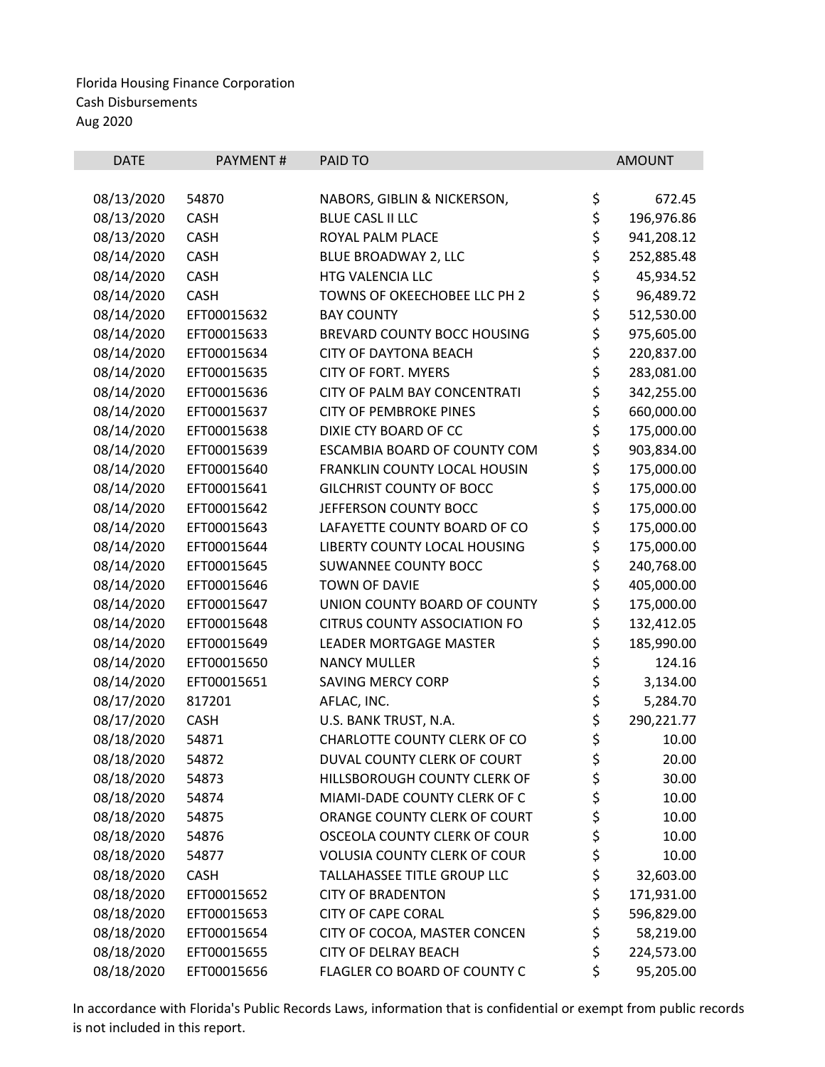| <b>DATE</b> | <b>PAYMENT#</b> | PAID TO                             | <b>AMOUNT</b>    |
|-------------|-----------------|-------------------------------------|------------------|
|             |                 |                                     |                  |
| 08/13/2020  | 54870           | NABORS, GIBLIN & NICKERSON,         | \$<br>672.45     |
| 08/13/2020  | <b>CASH</b>     | <b>BLUE CASL II LLC</b>             | \$<br>196,976.86 |
| 08/13/2020  | <b>CASH</b>     | ROYAL PALM PLACE                    | \$<br>941,208.12 |
| 08/14/2020  | CASH            | BLUE BROADWAY 2, LLC                | \$<br>252,885.48 |
| 08/14/2020  | CASH            | HTG VALENCIA LLC                    | \$<br>45,934.52  |
| 08/14/2020  | <b>CASH</b>     | TOWNS OF OKEECHOBEE LLC PH 2        | \$<br>96,489.72  |
| 08/14/2020  | EFT00015632     | <b>BAY COUNTY</b>                   | \$<br>512,530.00 |
| 08/14/2020  | EFT00015633     | BREVARD COUNTY BOCC HOUSING         | \$<br>975,605.00 |
| 08/14/2020  | EFT00015634     | <b>CITY OF DAYTONA BEACH</b>        | \$<br>220,837.00 |
| 08/14/2020  | EFT00015635     | <b>CITY OF FORT. MYERS</b>          | \$<br>283,081.00 |
| 08/14/2020  | EFT00015636     | CITY OF PALM BAY CONCENTRATI        | \$<br>342,255.00 |
| 08/14/2020  | EFT00015637     | <b>CITY OF PEMBROKE PINES</b>       | \$<br>660,000.00 |
| 08/14/2020  | EFT00015638     | DIXIE CTY BOARD OF CC               | \$<br>175,000.00 |
| 08/14/2020  | EFT00015639     | ESCAMBIA BOARD OF COUNTY COM        | \$<br>903,834.00 |
| 08/14/2020  | EFT00015640     | FRANKLIN COUNTY LOCAL HOUSIN        | \$<br>175,000.00 |
| 08/14/2020  | EFT00015641     | <b>GILCHRIST COUNTY OF BOCC</b>     | \$<br>175,000.00 |
| 08/14/2020  | EFT00015642     | JEFFERSON COUNTY BOCC               | \$<br>175,000.00 |
| 08/14/2020  | EFT00015643     | LAFAYETTE COUNTY BOARD OF CO        | \$<br>175,000.00 |
| 08/14/2020  | EFT00015644     | LIBERTY COUNTY LOCAL HOUSING        | \$<br>175,000.00 |
| 08/14/2020  | EFT00015645     | SUWANNEE COUNTY BOCC                | \$<br>240,768.00 |
| 08/14/2020  | EFT00015646     | <b>TOWN OF DAVIE</b>                | \$<br>405,000.00 |
| 08/14/2020  | EFT00015647     | UNION COUNTY BOARD OF COUNTY        | \$<br>175,000.00 |
| 08/14/2020  | EFT00015648     | <b>CITRUS COUNTY ASSOCIATION FO</b> | \$<br>132,412.05 |
| 08/14/2020  | EFT00015649     | <b>LEADER MORTGAGE MASTER</b>       | \$<br>185,990.00 |
| 08/14/2020  | EFT00015650     | <b>NANCY MULLER</b>                 | \$<br>124.16     |
| 08/14/2020  | EFT00015651     | <b>SAVING MERCY CORP</b>            | \$<br>3,134.00   |
| 08/17/2020  | 817201          | AFLAC, INC.                         | \$<br>5,284.70   |
| 08/17/2020  | <b>CASH</b>     | U.S. BANK TRUST, N.A.               | \$<br>290,221.77 |
| 08/18/2020  | 54871           | CHARLOTTE COUNTY CLERK OF CO        | \$<br>10.00      |
| 08/18/2020  | 54872           | DUVAL COUNTY CLERK OF COURT         | \$<br>20.00      |
| 08/18/2020  | 54873           | HILLSBOROUGH COUNTY CLERK OF        | \$<br>30.00      |
| 08/18/2020  | 54874           | MIAMI-DADE COUNTY CLERK OF C        | \$<br>10.00      |
| 08/18/2020  | 54875           | ORANGE COUNTY CLERK OF COURT        | \$<br>10.00      |
| 08/18/2020  | 54876           | OSCEOLA COUNTY CLERK OF COUR        | \$<br>10.00      |
| 08/18/2020  | 54877           | <b>VOLUSIA COUNTY CLERK OF COUR</b> | \$<br>10.00      |
| 08/18/2020  | <b>CASH</b>     | TALLAHASSEE TITLE GROUP LLC         | \$<br>32,603.00  |
| 08/18/2020  | EFT00015652     | <b>CITY OF BRADENTON</b>            | \$<br>171,931.00 |
| 08/18/2020  | EFT00015653     | <b>CITY OF CAPE CORAL</b>           | \$<br>596,829.00 |
| 08/18/2020  | EFT00015654     | CITY OF COCOA, MASTER CONCEN        | \$<br>58,219.00  |
| 08/18/2020  | EFT00015655     | <b>CITY OF DELRAY BEACH</b>         | \$<br>224,573.00 |
| 08/18/2020  | EFT00015656     | FLAGLER CO BOARD OF COUNTY C        | \$<br>95,205.00  |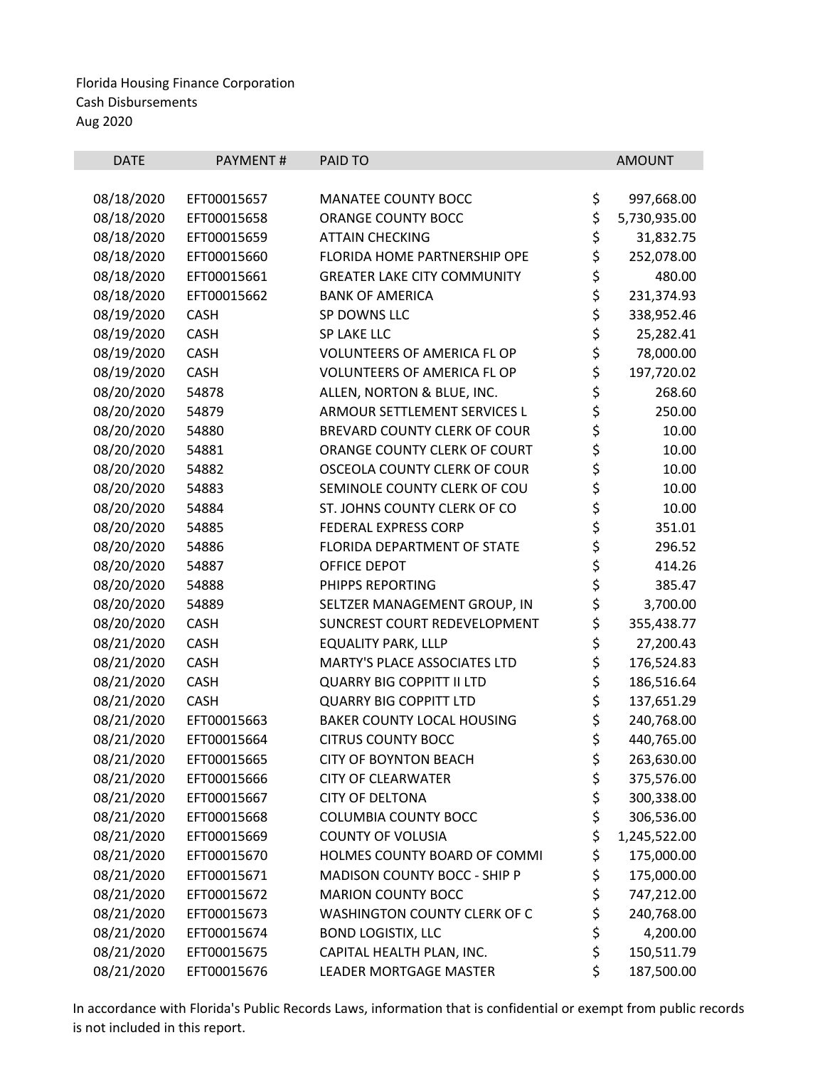| <b>DATE</b> | PAYMENT#    | PAID TO                             | <b>AMOUNT</b>      |
|-------------|-------------|-------------------------------------|--------------------|
|             |             |                                     |                    |
| 08/18/2020  | EFT00015657 | <b>MANATEE COUNTY BOCC</b>          | \$<br>997,668.00   |
| 08/18/2020  | EFT00015658 | ORANGE COUNTY BOCC                  | \$<br>5,730,935.00 |
| 08/18/2020  | EFT00015659 | <b>ATTAIN CHECKING</b>              | \$<br>31,832.75    |
| 08/18/2020  | EFT00015660 | FLORIDA HOME PARTNERSHIP OPE        | \$<br>252,078.00   |
| 08/18/2020  | EFT00015661 | <b>GREATER LAKE CITY COMMUNITY</b>  | \$<br>480.00       |
| 08/18/2020  | EFT00015662 | <b>BANK OF AMERICA</b>              | \$<br>231,374.93   |
| 08/19/2020  | <b>CASH</b> | SP DOWNS LLC                        | \$<br>338,952.46   |
| 08/19/2020  | <b>CASH</b> | SP LAKE LLC                         | \$<br>25,282.41    |
| 08/19/2020  | <b>CASH</b> | <b>VOLUNTEERS OF AMERICA FL OP</b>  | \$<br>78,000.00    |
| 08/19/2020  | <b>CASH</b> | <b>VOLUNTEERS OF AMERICA FL OP</b>  | \$<br>197,720.02   |
| 08/20/2020  | 54878       | ALLEN, NORTON & BLUE, INC.          | \$<br>268.60       |
| 08/20/2020  | 54879       | ARMOUR SETTLEMENT SERVICES L        | \$<br>250.00       |
| 08/20/2020  | 54880       | <b>BREVARD COUNTY CLERK OF COUR</b> | \$<br>10.00        |
| 08/20/2020  | 54881       | ORANGE COUNTY CLERK OF COURT        | \$<br>10.00        |
| 08/20/2020  | 54882       | OSCEOLA COUNTY CLERK OF COUR        | \$<br>10.00        |
| 08/20/2020  | 54883       | SEMINOLE COUNTY CLERK OF COU        | \$<br>10.00        |
| 08/20/2020  | 54884       | ST. JOHNS COUNTY CLERK OF CO        | \$<br>10.00        |
| 08/20/2020  | 54885       | FEDERAL EXPRESS CORP                | \$<br>351.01       |
| 08/20/2020  | 54886       | FLORIDA DEPARTMENT OF STATE         | \$<br>296.52       |
| 08/20/2020  | 54887       | OFFICE DEPOT                        | \$<br>414.26       |
| 08/20/2020  | 54888       | PHIPPS REPORTING                    | \$<br>385.47       |
| 08/20/2020  | 54889       | SELTZER MANAGEMENT GROUP, IN        | \$<br>3,700.00     |
| 08/20/2020  | <b>CASH</b> | SUNCREST COURT REDEVELOPMENT        | \$<br>355,438.77   |
| 08/21/2020  | <b>CASH</b> | <b>EQUALITY PARK, LLLP</b>          | \$<br>27,200.43    |
| 08/21/2020  | CASH        | MARTY'S PLACE ASSOCIATES LTD        | \$<br>176,524.83   |
| 08/21/2020  | <b>CASH</b> | <b>QUARRY BIG COPPITT II LTD</b>    | \$<br>186,516.64   |
| 08/21/2020  | <b>CASH</b> | <b>QUARRY BIG COPPITT LTD</b>       | \$<br>137,651.29   |
| 08/21/2020  | EFT00015663 | <b>BAKER COUNTY LOCAL HOUSING</b>   | \$<br>240,768.00   |
| 08/21/2020  | EFT00015664 | <b>CITRUS COUNTY BOCC</b>           | \$<br>440,765.00   |
| 08/21/2020  | EFT00015665 | <b>CITY OF BOYNTON BEACH</b>        | \$<br>263,630.00   |
| 08/21/2020  | EFT00015666 | <b>CITY OF CLEARWATER</b>           | \$<br>375,576.00   |
| 08/21/2020  | EFT00015667 | <b>CITY OF DELTONA</b>              | \$<br>300,338.00   |
| 08/21/2020  | EFT00015668 | <b>COLUMBIA COUNTY BOCC</b>         | \$<br>306,536.00   |
| 08/21/2020  | EFT00015669 | <b>COUNTY OF VOLUSIA</b>            | \$<br>1,245,522.00 |
| 08/21/2020  | EFT00015670 | HOLMES COUNTY BOARD OF COMMI        | \$<br>175,000.00   |
| 08/21/2020  | EFT00015671 | MADISON COUNTY BOCC - SHIP P        | \$<br>175,000.00   |
| 08/21/2020  | EFT00015672 | <b>MARION COUNTY BOCC</b>           | \$<br>747,212.00   |
| 08/21/2020  | EFT00015673 | WASHINGTON COUNTY CLERK OF C        | \$<br>240,768.00   |
| 08/21/2020  | EFT00015674 | <b>BOND LOGISTIX, LLC</b>           | \$<br>4,200.00     |
| 08/21/2020  | EFT00015675 | CAPITAL HEALTH PLAN, INC.           | \$<br>150,511.79   |
| 08/21/2020  | EFT00015676 | LEADER MORTGAGE MASTER              | \$<br>187,500.00   |
|             |             |                                     |                    |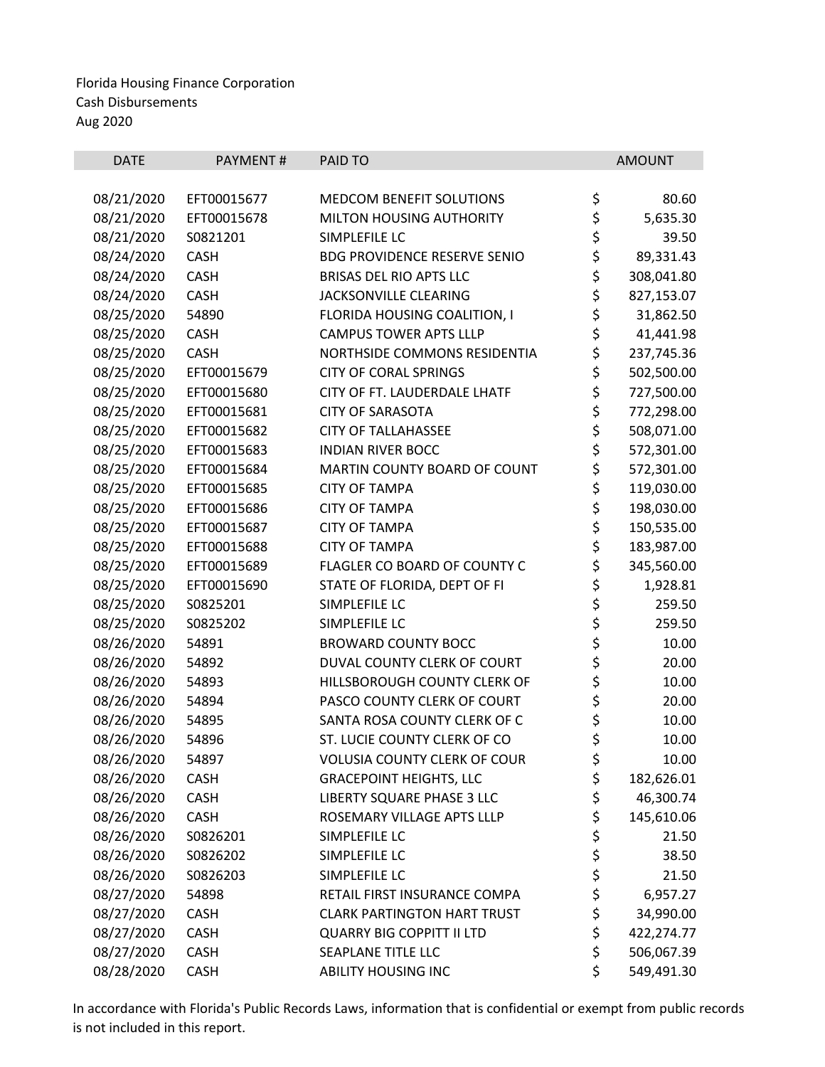| <b>DATE</b> | PAYMENT#    | PAID TO                             | <b>AMOUNT</b>    |
|-------------|-------------|-------------------------------------|------------------|
| 08/21/2020  | EFT00015677 | MEDCOM BENEFIT SOLUTIONS            | \$<br>80.60      |
| 08/21/2020  | EFT00015678 | MILTON HOUSING AUTHORITY            | \$<br>5,635.30   |
| 08/21/2020  | S0821201    | SIMPLEFILE LC                       | \$<br>39.50      |
| 08/24/2020  | <b>CASH</b> | <b>BDG PROVIDENCE RESERVE SENIO</b> | \$<br>89,331.43  |
| 08/24/2020  | <b>CASH</b> | <b>BRISAS DEL RIO APTS LLC</b>      | \$<br>308,041.80 |
| 08/24/2020  | <b>CASH</b> | <b>JACKSONVILLE CLEARING</b>        | \$<br>827,153.07 |
| 08/25/2020  | 54890       | FLORIDA HOUSING COALITION, I        | \$<br>31,862.50  |
| 08/25/2020  | CASH        | <b>CAMPUS TOWER APTS LLLP</b>       | \$<br>41,441.98  |
| 08/25/2020  | <b>CASH</b> | NORTHSIDE COMMONS RESIDENTIA        | \$<br>237,745.36 |
| 08/25/2020  | EFT00015679 | <b>CITY OF CORAL SPRINGS</b>        | \$<br>502,500.00 |
| 08/25/2020  | EFT00015680 | CITY OF FT. LAUDERDALE LHATF        | \$<br>727,500.00 |
| 08/25/2020  | EFT00015681 | <b>CITY OF SARASOTA</b>             | \$<br>772,298.00 |
| 08/25/2020  | EFT00015682 | <b>CITY OF TALLAHASSEE</b>          | \$<br>508,071.00 |
| 08/25/2020  | EFT00015683 | <b>INDIAN RIVER BOCC</b>            | \$<br>572,301.00 |
| 08/25/2020  | EFT00015684 | MARTIN COUNTY BOARD OF COUNT        | \$<br>572,301.00 |
| 08/25/2020  | EFT00015685 | <b>CITY OF TAMPA</b>                | \$<br>119,030.00 |
| 08/25/2020  | EFT00015686 | <b>CITY OF TAMPA</b>                | \$<br>198,030.00 |
| 08/25/2020  | EFT00015687 | <b>CITY OF TAMPA</b>                | \$<br>150,535.00 |
| 08/25/2020  | EFT00015688 | <b>CITY OF TAMPA</b>                | \$<br>183,987.00 |
| 08/25/2020  | EFT00015689 | FLAGLER CO BOARD OF COUNTY C        | \$<br>345,560.00 |
| 08/25/2020  | EFT00015690 | STATE OF FLORIDA, DEPT OF FI        | \$<br>1,928.81   |
| 08/25/2020  | S0825201    | SIMPLEFILE LC                       | \$<br>259.50     |
| 08/25/2020  | S0825202    | SIMPLEFILE LC                       | \$<br>259.50     |
| 08/26/2020  | 54891       | <b>BROWARD COUNTY BOCC</b>          | \$<br>10.00      |
| 08/26/2020  | 54892       | DUVAL COUNTY CLERK OF COURT         | \$<br>20.00      |
| 08/26/2020  | 54893       | HILLSBOROUGH COUNTY CLERK OF        | \$<br>10.00      |
| 08/26/2020  | 54894       | PASCO COUNTY CLERK OF COURT         | \$<br>20.00      |
| 08/26/2020  | 54895       | SANTA ROSA COUNTY CLERK OF C        | \$<br>10.00      |
| 08/26/2020  | 54896       | ST. LUCIE COUNTY CLERK OF CO        | \$<br>10.00      |
| 08/26/2020  | 54897       | <b>VOLUSIA COUNTY CLERK OF COUR</b> | \$<br>10.00      |
| 08/26/2020  | <b>CASH</b> | <b>GRACEPOINT HEIGHTS, LLC</b>      | \$<br>182,626.01 |
| 08/26/2020  | CASH        | LIBERTY SQUARE PHASE 3 LLC          | \$<br>46,300.74  |
| 08/26/2020  | <b>CASH</b> | ROSEMARY VILLAGE APTS LLLP          | \$<br>145,610.06 |
| 08/26/2020  | S0826201    | SIMPLEFILE LC                       | \$<br>21.50      |
| 08/26/2020  | S0826202    | SIMPLEFILE LC                       | \$<br>38.50      |
| 08/26/2020  | S0826203    | SIMPLEFILE LC                       | \$<br>21.50      |
| 08/27/2020  | 54898       | RETAIL FIRST INSURANCE COMPA        | \$<br>6,957.27   |
| 08/27/2020  | <b>CASH</b> | <b>CLARK PARTINGTON HART TRUST</b>  | \$<br>34,990.00  |
| 08/27/2020  | <b>CASH</b> | <b>QUARRY BIG COPPITT II LTD</b>    | \$<br>422,274.77 |
| 08/27/2020  | <b>CASH</b> | SEAPLANE TITLE LLC                  | \$<br>506,067.39 |
| 08/28/2020  | CASH        | ABILITY HOUSING INC                 | \$<br>549,491.30 |